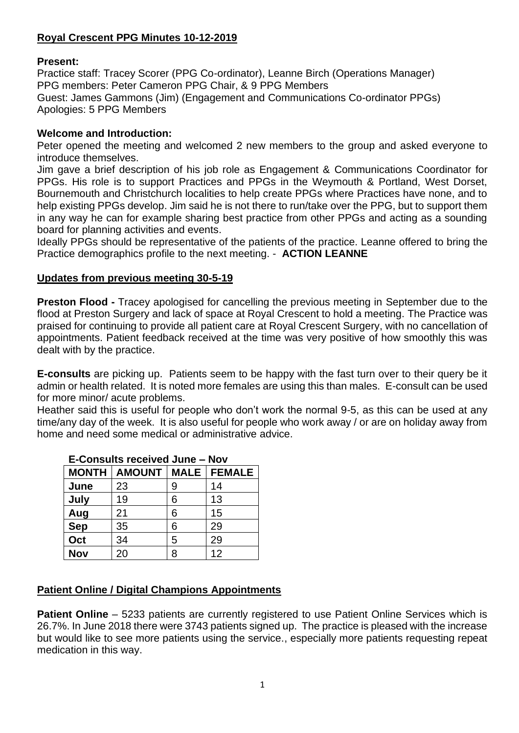# **Royal Crescent PPG Minutes 10-12-2019**

### **Present:**

Practice staff: Tracey Scorer (PPG Co-ordinator), Leanne Birch (Operations Manager) PPG members: Peter Cameron PPG Chair, & 9 PPG Members Guest: James Gammons (Jim) (Engagement and Communications Co-ordinator PPGs) Apologies: 5 PPG Members

## **Welcome and Introduction:**

Peter opened the meeting and welcomed 2 new members to the group and asked everyone to introduce themselves.

Jim gave a brief description of his job role as Engagement & Communications Coordinator for PPGs. His role is to support Practices and PPGs in the Weymouth & Portland, West Dorset, Bournemouth and Christchurch localities to help create PPGs where Practices have none, and to help existing PPGs develop. Jim said he is not there to run/take over the PPG, but to support them in any way he can for example sharing best practice from other PPGs and acting as a sounding board for planning activities and events.

Ideally PPGs should be representative of the patients of the practice. Leanne offered to bring the Practice demographics profile to the next meeting. - **ACTION LEANNE**

### **Updates from previous meeting 30-5-19**

**Preston Flood -** Tracey apologised for cancelling the previous meeting in September due to the flood at Preston Surgery and lack of space at Royal Crescent to hold a meeting. The Practice was praised for continuing to provide all patient care at Royal Crescent Surgery, with no cancellation of appointments. Patient feedback received at the time was very positive of how smoothly this was dealt with by the practice.

**E-consults** are picking up. Patients seem to be happy with the fast turn over to their query be it admin or health related. It is noted more females are using this than males. E-consult can be used for more minor/ acute problems.

Heather said this is useful for people who don't work the normal 9-5, as this can be used at any time/any day of the week. It is also useful for people who work away / or are on holiday away from home and need some medical or administrative advice.

| L-OUISURS I CUCIVEU JUILE — INOV |               |             |               |
|----------------------------------|---------------|-------------|---------------|
| <b>MONTH</b>                     | <b>AMOUNT</b> | <b>MALE</b> | <b>FEMALE</b> |
| June                             | 23            | 9           | 14            |
| July                             | 19            | 6           | 13            |
| Aug                              | 21            | 6           | 15            |
| <b>Sep</b>                       | 35            | 6           | 29            |
| Oct                              | 34            | 5           | 29            |
| <b>Nov</b>                       | 20            | 8           | 12            |

## **E-Consults received June – Nov**

## **Patient Online / Digital Champions Appointments**

**Patient Online** – 5233 patients are currently registered to use Patient Online Services which is 26.7%. In June 2018 there were 3743 patients signed up. The practice is pleased with the increase but would like to see more patients using the service., especially more patients requesting repeat medication in this way.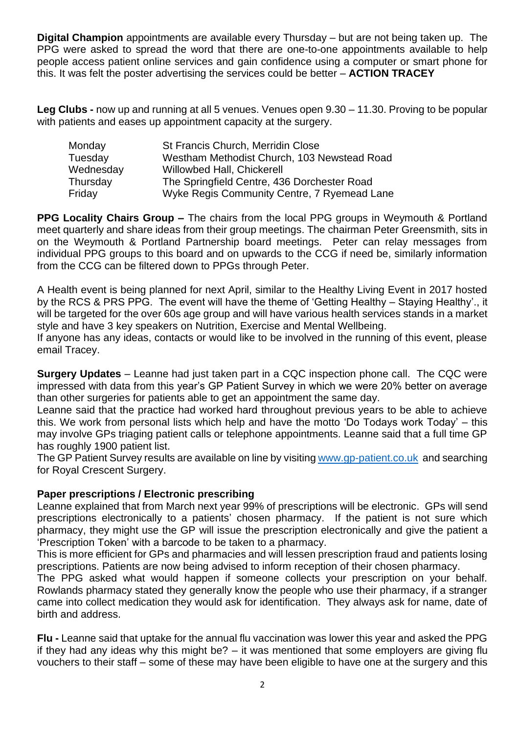**Digital Champion** appointments are available every Thursday – but are not being taken up. The PPG were asked to spread the word that there are one-to-one appointments available to help people access patient online services and gain confidence using a computer or smart phone for this. It was felt the poster advertising the services could be better – **ACTION TRACEY**

**Leg Clubs -** now up and running at all 5 venues. Venues open 9.30 – 11.30. Proving to be popular with patients and eases up appointment capacity at the surgery.

| Monday    | St Francis Church, Merridin Close           |  |
|-----------|---------------------------------------------|--|
| Tuesday   | Westham Methodist Church, 103 Newstead Road |  |
| Wednesday | <b>Willowbed Hall, Chickerell</b>           |  |
| Thursday  | The Springfield Centre, 436 Dorchester Road |  |
| Friday    | Wyke Regis Community Centre, 7 Ryemead Lane |  |

**PPG Locality Chairs Group –** The chairs from the local PPG groups in Weymouth & Portland meet quarterly and share ideas from their group meetings. The chairman Peter Greensmith, sits in on the Weymouth & Portland Partnership board meetings. Peter can relay messages from individual PPG groups to this board and on upwards to the CCG if need be, similarly information from the CCG can be filtered down to PPGs through Peter.

A Health event is being planned for next April, similar to the Healthy Living Event in 2017 hosted by the RCS & PRS PPG. The event will have the theme of 'Getting Healthy – Staying Healthy'., it will be targeted for the over 60s age group and will have various health services stands in a market style and have 3 key speakers on Nutrition, Exercise and Mental Wellbeing.

If anyone has any ideas, contacts or would like to be involved in the running of this event, please email Tracey.

**Surgery Updates** – Leanne had just taken part in a CQC inspection phone call. The CQC were impressed with data from this year's GP Patient Survey in which we were 20% better on average than other surgeries for patients able to get an appointment the same day.

Leanne said that the practice had worked hard throughout previous years to be able to achieve this. We work from personal lists which help and have the motto 'Do Todays work Today' – this may involve GPs triaging patient calls or telephone appointments. Leanne said that a full time GP has roughly 1900 patient list.

The GP Patient Survey results are available on line by visiting [www.gp-patient.co.uk](http://www.gp-patient.co.uk/) and searching for Royal Crescent Surgery.

## **Paper prescriptions / Electronic prescribing**

Leanne explained that from March next year 99% of prescriptions will be electronic. GPs will send prescriptions electronically to a patients' chosen pharmacy. If the patient is not sure which pharmacy, they might use the GP will issue the prescription electronically and give the patient a 'Prescription Token' with a barcode to be taken to a pharmacy.

This is more efficient for GPs and pharmacies and will lessen prescription fraud and patients losing prescriptions. Patients are now being advised to inform reception of their chosen pharmacy.

The PPG asked what would happen if someone collects your prescription on your behalf. Rowlands pharmacy stated they generally know the people who use their pharmacy, if a stranger came into collect medication they would ask for identification. They always ask for name, date of birth and address.

**Flu -** Leanne said that uptake for the annual flu vaccination was lower this year and asked the PPG if they had any ideas why this might be? – it was mentioned that some employers are giving flu vouchers to their staff – some of these may have been eligible to have one at the surgery and this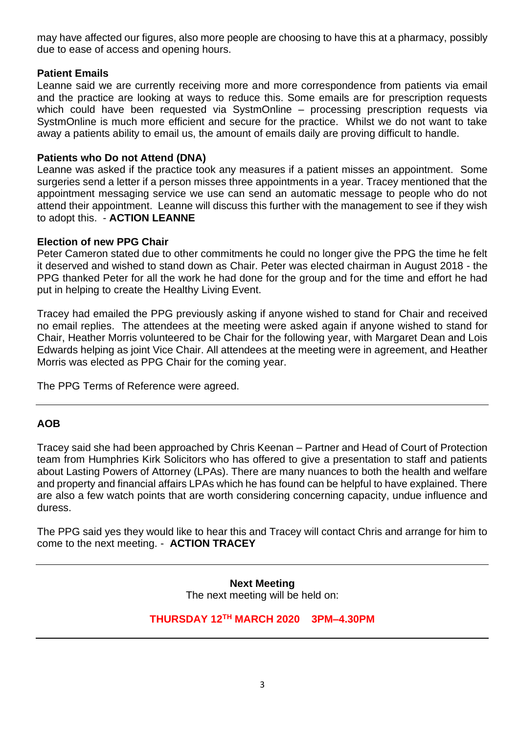may have affected our figures, also more people are choosing to have this at a pharmacy, possibly due to ease of access and opening hours.

#### **Patient Emails**

Leanne said we are currently receiving more and more correspondence from patients via email and the practice are looking at ways to reduce this. Some emails are for prescription requests which could have been requested via SystmOnline – processing prescription requests via SystmOnline is much more efficient and secure for the practice. Whilst we do not want to take away a patients ability to email us, the amount of emails daily are proving difficult to handle.

#### **Patients who Do not Attend (DNA)**

Leanne was asked if the practice took any measures if a patient misses an appointment. Some surgeries send a letter if a person misses three appointments in a year. Tracey mentioned that the appointment messaging service we use can send an automatic message to people who do not attend their appointment. Leanne will discuss this further with the management to see if they wish to adopt this. - **ACTION LEANNE**

#### **Election of new PPG Chair**

Peter Cameron stated due to other commitments he could no longer give the PPG the time he felt it deserved and wished to stand down as Chair. Peter was elected chairman in August 2018 - the PPG thanked Peter for all the work he had done for the group and for the time and effort he had put in helping to create the Healthy Living Event.

Tracey had emailed the PPG previously asking if anyone wished to stand for Chair and received no email replies. The attendees at the meeting were asked again if anyone wished to stand for Chair, Heather Morris volunteered to be Chair for the following year, with Margaret Dean and Lois Edwards helping as joint Vice Chair. All attendees at the meeting were in agreement, and Heather Morris was elected as PPG Chair for the coming year.

The PPG Terms of Reference were agreed.

## **AOB**

Tracey said she had been approached by Chris Keenan – Partner and Head of Court of Protection team from Humphries Kirk Solicitors who has offered to give a presentation to staff and patients about Lasting Powers of Attorney (LPAs). There are many nuances to both the health and welfare and property and financial affairs LPAs which he has found can be helpful to have explained. There are also a few watch points that are worth considering concerning capacity, undue influence and duress.

The PPG said yes they would like to hear this and Tracey will contact Chris and arrange for him to come to the next meeting. - **ACTION TRACEY**

> **Next Meeting** The next meeting will be held on:

# **THURSDAY 12TH MARCH 2020 3PM–4.30PM**